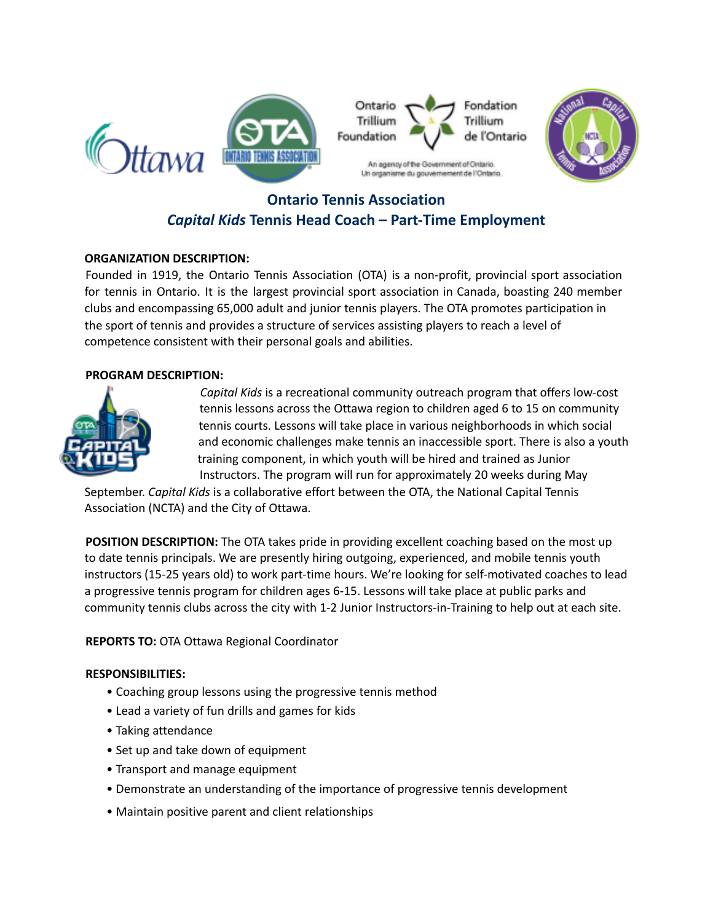



# **Ontario Tennis Association** *Capital Kids* **Tennis Head Coach – Part-Time Employment**

# **ORGANIZATION DESCRIPTION:**

Founded in 1919, the Ontario Tennis Association (OTA) is a non-profit, provincial sport association for tennis in Ontario. It is the largest provincial sport association in Canada, boasting 240 member clubs and encompassing 65,000 adult and junior tennis players. The OTA promotes participation in the sport of tennis and provides a structure of services assisting players to reach a level of competence consistent with their personal goals and abilities.

# **PROGRAM DESCRIPTION:**



*Capital Kids* is a recreational community outreach program that offers low-cost tennis lessons across the Ottawa region to children aged 6 to 15 on community tennis courts. Lessons will take place in various neighborhoods in which social and economic challenges make tennis an inaccessible sport. There is also a youth training component, in which youth will be hired and trained as Junior Instructors. The program will run for approximately 20 weeks during May

September. *Capital Kids* is a collaborative effort between the OTA, the National Capital Tennis Association (NCTA) and the City of Ottawa.

**POSITION DESCRIPTION:** The OTA takes pride in providing excellent coaching based on the most up to date tennis principals. We are presently hiring outgoing, experienced, and mobile tennis youth instructors (15-25 years old) to work part-time hours. We're looking for self-motivated coaches to lead a progressive tennis program for children ages 6-15. Lessons will take place at public parks and community tennis clubs across the city with 1-2 Junior Instructors-in-Training to help out at each site.

**REPORTS TO:** OTA Ottawa Regional Coordinator

# **RESPONSIBILITIES:**

- Coaching group lessons using the progressive tennis method
- Lead a variety of fun drills and games for kids
- Taking attendance
- Set up and take down of equipment
- Transport and manage equipment
- Demonstrate an understanding of the importance of progressive tennis development
- Maintain positive parent and client relationships